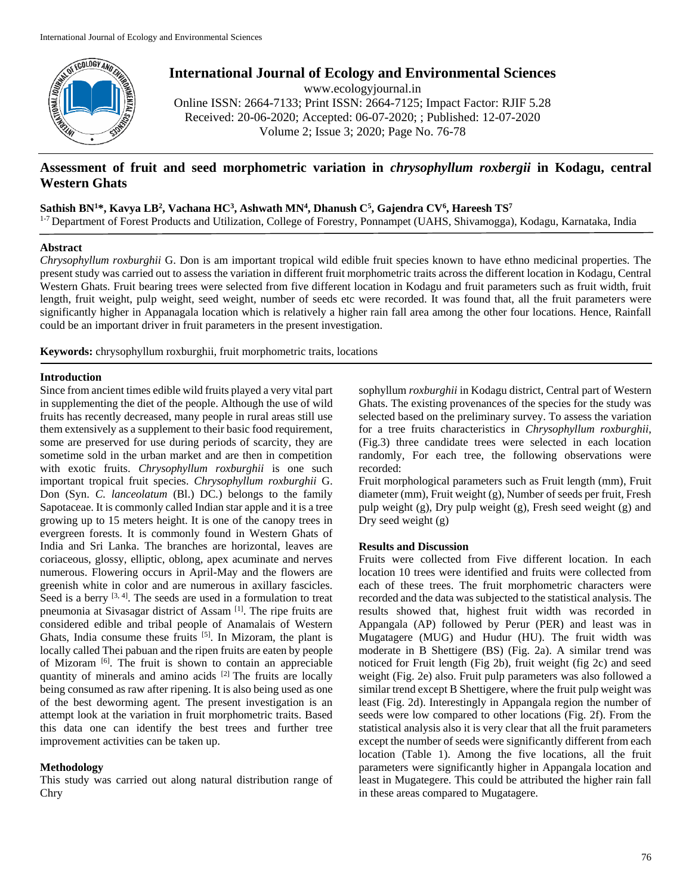

**International Journal of Ecology and Environmental Sciences**

www.ecologyjournal.in Online ISSN: 2664-7133; Print ISSN: 2664-7125; Impact Factor: RJIF 5.28 Received: 20-06-2020; Accepted: 06-07-2020; ; Published: 12-07-2020 Volume 2; Issue 3; 2020; Page No. 76-78

# **Assessment of fruit and seed morphometric variation in** *chrysophyllum roxbergii* **in Kodagu, central Western Ghats**

## **Sathish BN<sup>1</sup>\*, Kavya LB<sup>2</sup> , Vachana HC<sup>3</sup> , Ashwath MN<sup>4</sup> , Dhanush C<sup>5</sup> , Gajendra CV<sup>6</sup> , Hareesh TS<sup>7</sup>**

<sup>1-7</sup> Department of Forest Products and Utilization, College of Forestry, Ponnampet (UAHS, Shivamogga), Kodagu, Karnataka, India

### **Abstract**

*Chrysophyllum roxburghii* G. Don is am important tropical wild edible fruit species known to have ethno medicinal properties. The present study was carried out to assess the variation in different fruit morphometric traits across the different location in Kodagu, Central Western Ghats. Fruit bearing trees were selected from five different location in Kodagu and fruit parameters such as fruit width, fruit length, fruit weight, pulp weight, seed weight, number of seeds etc were recorded. It was found that, all the fruit parameters were significantly higher in Appanagala location which is relatively a higher rain fall area among the other four locations. Hence, Rainfall could be an important driver in fruit parameters in the present investigation.

**Keywords:** chrysophyllum roxburghii, fruit morphometric traits, locations

### **Introduction**

Since from ancient times edible wild fruits played a very vital part in supplementing the diet of the people. Although the use of wild fruits has recently decreased, many people in rural areas still use them extensively as a supplement to their basic food requirement, some are preserved for use during periods of scarcity, they are sometime sold in the urban market and are then in competition with exotic fruits. *Chrysophyllum roxburghii* is one such important tropical fruit species. *Chrysophyllum roxburghii* G. Don (Syn. *C. lanceolatum* (Bl.) DC*.*) belongs to the family Sapotaceae. It is commonly called Indian star apple and it is a tree growing up to 15 meters height. It is one of the canopy trees in evergreen forests. It is commonly found in Western Ghats of India and Sri Lanka. The branches are horizontal, leaves are coriaceous, glossy, elliptic, oblong, apex acuminate and nerves numerous. Flowering occurs in April-May and the flowers are greenish white in color and are numerous in axillary fascicles. Seed is a berry  $[3, 4]$ . The seeds are used in a formulation to treat pneumonia at Sivasagar district of Assam [1]. The ripe fruits are considered edible and tribal people of Anamalais of Western Ghats, India consume these fruits  $[5]$ . In Mizoram, the plant is locally called Thei pabuan and the ripen fruits are eaten by people of Mizoram [6]. The fruit is shown to contain an appreciable quantity of minerals and amino acids <sup>[2]</sup> The fruits are locally being consumed as raw after ripening. It is also being used as one of the best deworming agent. The present investigation is an attempt look at the variation in fruit morphometric traits. Based this data one can identify the best trees and further tree improvement activities can be taken up.

## **Methodology**

This study was carried out along natural distribution range of Chry

sophyllum *roxburghii* in Kodagu district, Central part of Western Ghats. The existing provenances of the species for the study was selected based on the preliminary survey. To assess the variation for a tree fruits characteristics in *Chrysophyllum roxburghii*, (Fig.3) three candidate trees were selected in each location randomly, For each tree, the following observations were recorded:

Fruit morphological parameters such as Fruit length (mm), Fruit diameter (mm), Fruit weight (g), Number of seeds per fruit, Fresh pulp weight (g), Dry pulp weight (g), Fresh seed weight (g) and Dry seed weight (g)

## **Results and Discussion**

Fruits were collected from Five different location. In each location 10 trees were identified and fruits were collected from each of these trees. The fruit morphometric characters were recorded and the data was subjected to the statistical analysis. The results showed that, highest fruit width was recorded in Appangala (AP) followed by Perur (PER) and least was in Mugatagere (MUG) and Hudur (HU). The fruit width was moderate in B Shettigere (BS) (Fig. 2a). A similar trend was noticed for Fruit length (Fig 2b), fruit weight (fig 2c) and seed weight (Fig. 2e) also. Fruit pulp parameters was also followed a similar trend except B Shettigere, where the fruit pulp weight was least (Fig. 2d). Interestingly in Appangala region the number of seeds were low compared to other locations (Fig. 2f). From the statistical analysis also it is very clear that all the fruit parameters except the number of seeds were significantly different from each location (Table 1). Among the five locations, all the fruit parameters were significantly higher in Appangala location and least in Mugategere. This could be attributed the higher rain fall in these areas compared to Mugatagere.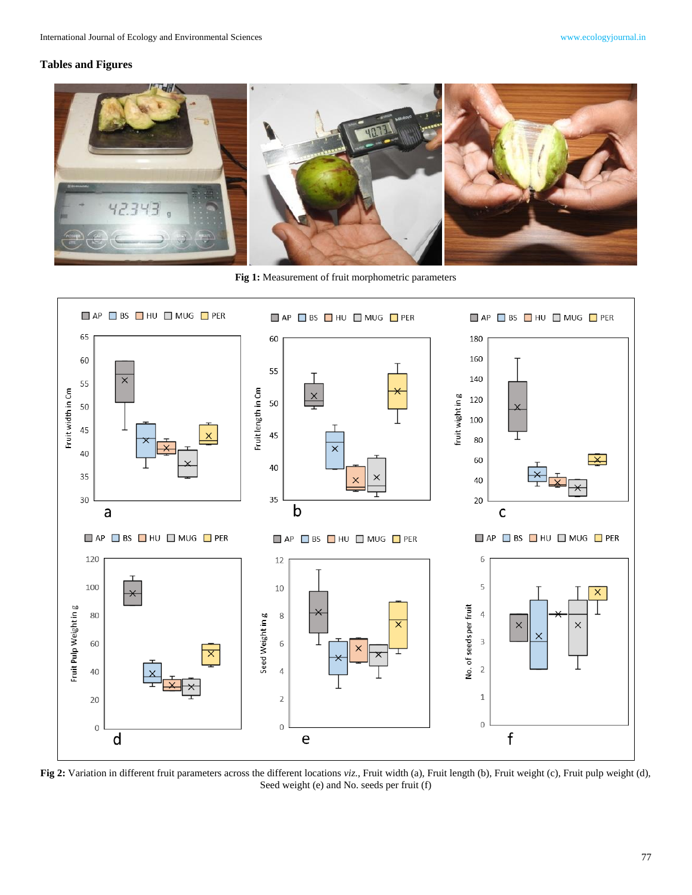## **Tables and Figures**



**Fig 1:** Measurement of fruit morphometric parameters



**Fig 2:** Variation in different fruit parameters across the different locations *viz*., Fruit width (a), Fruit length (b), Fruit weight (c), Fruit pulp weight (d), Seed weight (e) and No. seeds per fruit (f)